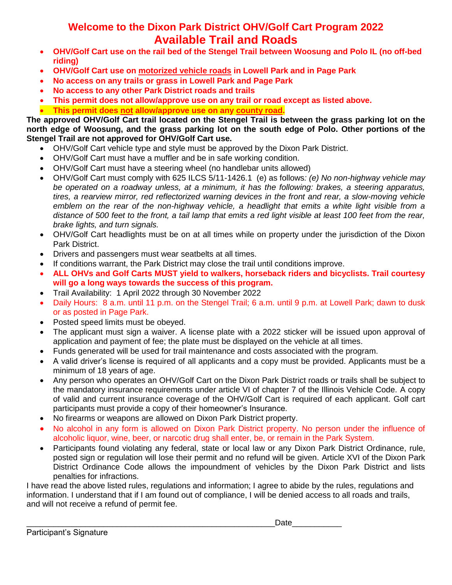## **Welcome to the Dixon Park District OHV/Golf Cart Program 2022 Available Trail and Roads**

- **OHV/Golf Cart use on the rail bed of the Stengel Trail between Woosung and Polo IL (no off-bed riding)**
- **OHV/Golf Cart use on motorized vehicle roads in Lowell Park and in Page Park**
- **No access on any trails or grass in Lowell Park and Page Park**
- **No access to any other Park District roads and trails**
- **This permit does not allow/approve use on any trail or road except as listed above. This permit does not allow/approve use on any county road.**

**The approved OHV/Golf Cart trail located on the Stengel Trail is between the grass parking lot on the north edge of Woosung, and the grass parking lot on the south edge of Polo. Other portions of the Stengel Trail are not approved for OHV/Golf Cart use.**

- OHV/Golf Cart vehicle type and style must be approved by the Dixon Park District.
- OHV/Golf Cart must have a muffler and be in safe working condition.
- OHV/Golf Cart must have a steering wheel (no handlebar units allowed)
- OHV/Golf Cart must comply with 625 ILCS 5/11-1426.1 (e) as follows*: (e) No non-highway vehicle may be operated on a roadway unless, at a minimum, it has the following: brakes, a steering apparatus, tires, a rearview mirror, red reflectorized warning devices in the front and rear, a slow-moving vehicle emblem on the rear of the non-highway vehicle, a headlight that emits a white light visible from a distance of 500 feet to the front, a tail lamp that emits a red light visible at least 100 feet from the rear, brake lights, and turn signals.*
- OHV/Golf Cart headlights must be on at all times while on property under the jurisdiction of the Dixon Park District.
- Drivers and passengers must wear seatbelts at all times.
- If conditions warrant, the Park District may close the trail until conditions improve.
- **ALL OHVs and Golf Carts MUST yield to walkers, horseback riders and bicyclists. Trail courtesy will go a long ways towards the success of this program.**
- Trail Availability: 1 April 2022 through 30 November 2022
- Daily Hours: 8 a.m. until 11 p.m. on the Stengel Trail; 6 a.m. until 9 p.m. at Lowell Park; dawn to dusk or as posted in Page Park.
- Posted speed limits must be obeyed.
- The applicant must sign a waiver. A license plate with a 2022 sticker will be issued upon approval of application and payment of fee; the plate must be displayed on the vehicle at all times.
- Funds generated will be used for trail maintenance and costs associated with the program.
- A valid driver's license is required of all applicants and a copy must be provided. Applicants must be a minimum of 18 years of age.
- Any person who operates an OHV/Golf Cart on the Dixon Park District roads or trails shall be subject to the mandatory insurance requirements under article VI of chapter 7 of the Illinois Vehicle Code. A copy of valid and current insurance coverage of the OHV/Golf Cart is required of each applicant. Golf cart participants must provide a copy of their homeowner's Insurance.
- No firearms or weapons are allowed on Dixon Park District property.
- No alcohol in any form is allowed on Dixon Park District property. No person under the influence of alcoholic liquor, wine, beer, or narcotic drug shall enter, be, or remain in the Park System.
- Participants found violating any federal, state or local law or any Dixon Park District Ordinance, rule, posted sign or regulation will lose their permit and no refund will be given. Article XVI of the Dixon Park District Ordinance Code allows the impoundment of vehicles by the Dixon Park District and lists penalties for infractions.

I have read the above listed rules, regulations and information; I agree to abide by the rules, regulations and information. I understand that if I am found out of compliance, I will be denied access to all roads and trails, and will not receive a refund of permit fee.